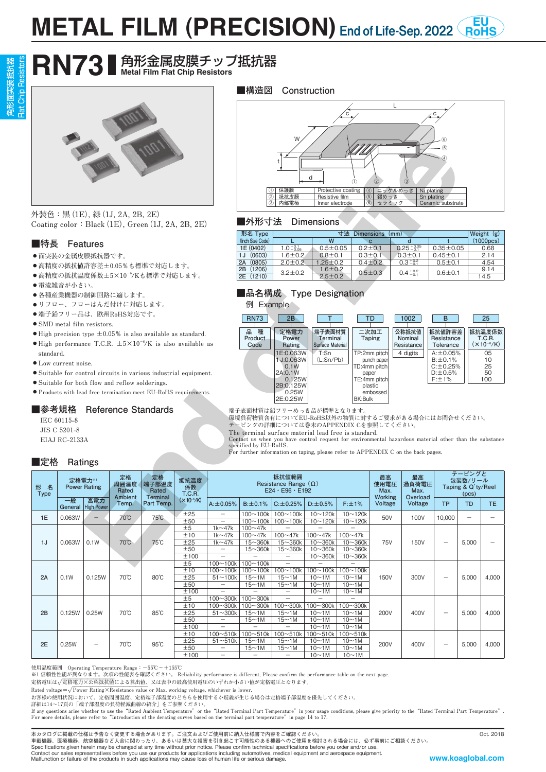# **METAL FILM (PRECISION)** End of Life-Sep. 2022 RoH End of Life-Sep. 2022 RoHS

# **RN73** ● 角形金属皮膜チップ抵抗器

Flat Chip Resistors 角形面実装抵抗器 B<sub>aci</sub>



#### **■特長 Features**

- **● 面実装の金属皮膜抵抗器です。**
- **● 高精度の抵抗値許容差±0.05%も標準で対応します。**
- **● 高精度の抵抗温度係数±5×10−6 /Kも標準で対応します。**
- **● 電流雑音が小さい。**
- **● 各種産業機器の制御回路に適します。**
- **● リフロー、フローはんだ付けに対応します。**
- **● 端子鉛フリー品は、欧州RoHS対応です。**
- **● SMD metal film resistors.**
- **● High precision type ±0.05% is also available as standard. ● High performance T.C.R. ±5×10−6 /K is also available as**
- **standard.**
- **● Low current noise.**
- **● Suitable for control circuits in various industrial equipment.**
- **● Suitable for both flow and reflow solderings.**
- **● Products with lead free termination meet EU-RoHS requirements.**

### **■参考規格 Reference Standards**

#### **■定格 Ratings**





#### **■外形寸法 Dimensions**

| 形名 Type          |                      | 寸法             | (mm)          |                              |                 |           |
|------------------|----------------------|----------------|---------------|------------------------------|-----------------|-----------|
| (Inch Size Code) |                      | w              |               |                              |                 | (1000pcs) |
| 1E (0402)        | $1.0_{-0.05}^{+0.1}$ | $0.5 + 0.05$   | $0.2 + 0.1$   | $0.25 + 0.05$                | $0.35 \pm 0.05$ | 0.68      |
| (0603)<br>1J     | $1.6 \pm 0.2$        | $0.8 \pm 0.1$  | $0.3 + 0.1$   | $0.3 + 0.1$                  | $0.45 \pm 0.1$  | 2.14      |
| (0805)<br>2A     | $2.0 \pm 0.2$        | $1.25 \pm 0.2$ | $0.4 \pm 0.2$ | $0.3\pm^{0.2}_{0.1}$         | $0.5 \pm 0.1$   | 4.54      |
| (1206)<br>2B     | $3.2 \pm 0.2$        | $1.6 + 0.2$    | $0.5 + 0.3$   | $0.4\substack{+0.2 \\ -0.1}$ |                 | 9.14      |
| 2E (1210)        |                      | $2.5 \pm 0.2$  |               |                              | $0.6 + 0.1$     | 14.5      |

#### **■品名構成 Type Designation**



|                                                                                                                                                                                         |                   |                             |                        |                                 |                        |                                                 | d<br>$\left( \mathrm{1}\right)$<br>4 ニッケルめっき<br>保護膜<br>Protective coating<br>Ni plating<br>抵抗皮膜<br>(2)<br>Resistive film<br>(5)<br>錫めっき<br>Sn plating<br>セラミック<br>内部電極<br>Inner electrode<br>$\circ$<br>Ceramic substrate                                                                                                                                                                                                                                                                             |                                                      |                                                  |                                        |                                |                                         |                                   |                                            |                         |
|-----------------------------------------------------------------------------------------------------------------------------------------------------------------------------------------|-------------------|-----------------------------|------------------------|---------------------------------|------------------------|-------------------------------------------------|-------------------------------------------------------------------------------------------------------------------------------------------------------------------------------------------------------------------------------------------------------------------------------------------------------------------------------------------------------------------------------------------------------------------------------------------------------------------------------------------------------|------------------------------------------------------|--------------------------------------------------|----------------------------------------|--------------------------------|-----------------------------------------|-----------------------------------|--------------------------------------------|-------------------------|
| 外装色:黒 (1E), 緑 (1J, 2A, 2B, 2E)<br>■外形寸法<br><b>Dimensions</b><br>Coating color: Black $(1E)$ , Green $(1J, 2A, 2B, 2E)$                                                                  |                   |                             |                        |                                 |                        |                                                 |                                                                                                                                                                                                                                                                                                                                                                                                                                                                                                       |                                                      |                                                  |                                        |                                |                                         |                                   |                                            |                         |
| ■特長                                                                                                                                                                                     |                   | Features                    |                        |                                 |                        |                                                 | 形名 Type<br>(Inch Size Code)                                                                                                                                                                                                                                                                                                                                                                                                                                                                           | L                                                    | W                                                | 寸法 Dimensions (mm)                     | $\mathbf{c}$                   | $\overline{\mathsf{d}}$                 |                                   |                                            | Weight (g)<br>(1000pcs) |
|                                                                                                                                                                                         |                   |                             |                        |                                 |                        |                                                 | 1E (0402)<br>1J (0603)                                                                                                                                                                                                                                                                                                                                                                                                                                                                                | $1.0_{-0.05}^{+0.1}$<br>$1.6 + 0.2$                  | $0.5 + 0.05$<br>$0.8 \pm 0.1$                    |                                        | $0.2 + 0.1$<br>$0.3 \pm 0.1$   | $0.25 + 0.05$<br>$0.3 + 0.1$            | $0.35 \pm 0.05$<br>$0.45 + 0.1$   |                                            | 0.68<br>2.14            |
| ● 面実装の金属皮膜抵抗器です。<br>● 高精度の抵抗値許容差±0.05%も標準で対応します。                                                                                                                                        |                   |                             |                        |                                 |                        | 2A (0805)                                       | $2.0 + 0.2$                                                                                                                                                                                                                                                                                                                                                                                                                                                                                           | $1.25 \pm 0.2$                                       |                                                  | $0.4 \pm 0.2$                          | $0.3^{+0.2}_{-0.1}$            | $0.5 + 0.1$                             |                                   | 4.54                                       |                         |
| ● 高精度の抵抗温度係数±5×10 <sup>-6</sup> /Kも標準で対応します。                                                                                                                                            |                   |                             |                        |                                 | 2B (1206)<br>2E (1210) | $3.2 + 0.2$                                     | $1.6 \pm 0.2$<br>$2.5 \pm 0.2$                                                                                                                                                                                                                                                                                                                                                                                                                                                                        |                                                      | $0.5 + 0.3$                                      | $0.4^{+0.2}_{-0.1}$                    | $0.6 + 0.1$                    |                                         | 9.14<br>14.5                      |                                            |                         |
|                                                                                                                                                                                         | ● 電流雑音が小さい。       |                             |                        |                                 |                        |                                                 |                                                                                                                                                                                                                                                                                                                                                                                                                                                                                                       |                                                      |                                                  |                                        |                                |                                         |                                   |                                            |                         |
|                                                                                                                                                                                         |                   |                             | ● 各種産業機器の制御回路に適します。    |                                 |                        |                                                 | ■品名構成 Type Designation                                                                                                                                                                                                                                                                                                                                                                                                                                                                                |                                                      |                                                  |                                        |                                |                                         |                                   |                                            |                         |
|                                                                                                                                                                                         |                   |                             | ●リフロー、フローはんだ付けに対応します。  |                                 |                        |                                                 | 例 Example                                                                                                                                                                                                                                                                                                                                                                                                                                                                                             |                                                      |                                                  |                                        |                                |                                         |                                   |                                            |                         |
|                                                                                                                                                                                         |                   | • SMD metal film resistors. | ● 端子鉛フリー品は、欧州RoHS対応です。 |                                 |                        |                                                 | <b>RN73</b>                                                                                                                                                                                                                                                                                                                                                                                                                                                                                           | 2B                                                   |                                                  |                                        | TD                             | 1002                                    | B                                 |                                            | 25                      |
| $\bullet$ High precision type $\pm 0.05\%$ is also available as standard.<br>$\bullet$ High performance T.C.R. $\pm$ 5×10 <sup>-6</sup> /K is also available as                         |                   |                             |                        |                                 |                        | 品 種<br>Product<br>Code                          | 定格電力<br>Power<br>Rating                                                                                                                                                                                                                                                                                                                                                                                                                                                                               | 端子表面材質<br>Terminal<br><b>Surface Material</b>        |                                                  | 二次加工<br><b>Taping</b>                  | 公称抵抗值<br>Nominal<br>Resistance | 抵抗値許容差<br>Resistance<br>Tolerance       |                                   | 抵抗温度係数<br><b>T.C.R.</b><br>$(x 10^{-6}/K)$ |                         |
| standard.                                                                                                                                                                               |                   |                             |                        |                                 |                        |                                                 |                                                                                                                                                                                                                                                                                                                                                                                                                                                                                                       | 1E:0.063W<br>1 J:0.063W                              | T:Sn<br>(L:Sn/Pb)                                |                                        | TP:2mm pitch<br>punch paper    | 4 digits                                | $A: \pm 0.05\%$<br>$B: \pm 0.1\%$ |                                            | 05<br>10                |
| $\bullet$ Low current noise.                                                                                                                                                            |                   |                             |                        |                                 |                        | 0.1W<br>2A:0.1W                                 |                                                                                                                                                                                                                                                                                                                                                                                                                                                                                                       |                                                      | $C: \pm 0.25%$<br>TD:4mm pitch<br>$D: \pm 0.5\%$ |                                        |                                |                                         | 25<br>50                          |                                            |                         |
| • Suitable for control circuits in various industrial equipment.<br>• Suitable for both flow and reflow solderings.                                                                     |                   |                             |                        |                                 |                        |                                                 | paper<br>0.125W<br>TE:4mm pitch                                                                                                                                                                                                                                                                                                                                                                                                                                                                       |                                                      |                                                  |                                        |                                |                                         | $F: \pm 1\%$                      |                                            | 100                     |
| 2B:0.125W<br>plastic<br>● Products with lead free termination meet EU-RoHS requirements.<br>0.25W<br>embossed<br>2E:0.25W<br>BK:Bulk                                                    |                   |                             |                        |                                 |                        |                                                 |                                                                                                                                                                                                                                                                                                                                                                                                                                                                                                       |                                                      |                                                  |                                        |                                |                                         |                                   |                                            |                         |
| <b>Reference Standards</b><br>■参考規格<br>IEC 60115-8<br>JIS C 5201-8<br>EIAJ RC-2133A<br>■定格<br>Ratings<br>定格<br>定格<br>定格電力*1<br>抵抗温度<br>端子部温度<br>周囲温度<br>形名<br><b>Power Rating</b><br>係数 |                   |                             |                        |                                 |                        |                                                 | 端子表面材質は鉛フリーめっき品が標準となります。<br>環境負荷物質含有についてEU-RoHS以外の物質に対するご要求がある場合にはお問合せください。<br>テーピングの詳細については巻末のAPPENDIX Cを参照してください。<br>The terminal surface material lead free is standard.<br>Contact us when you have control request for environmental hazardous material other than the substance<br>specified by EU-RoHS.<br>For further information on taping, please refer to APPENDIX C on the back pages.<br>抵抗値範囲<br>最高<br>最高<br>Resistance Range $(\Omega)$<br>使用電圧<br>過負荷電圧<br>$E24 \cdot E96 \cdot E192$ |                                                      |                                                  |                                        |                                | テーピングと<br>包装数/リール<br>Taping & Q'ty/Reel |                                   |                                            |                         |
| <b>Type</b>                                                                                                                                                                             | 一般                | 高電力                         | Rated<br>Ambient       | Rated<br>Terminal<br>Part Temp. | T.C.R.<br>$(X10-6/K)$  |                                                 |                                                                                                                                                                                                                                                                                                                                                                                                                                                                                                       |                                                      |                                                  |                                        | Max.<br><b>Working</b>         | Max.<br>Overload                        |                                   | (pcs)                                      |                         |
| 1E                                                                                                                                                                                      | General<br>0.063W | <b>High Power</b>           | Temp.<br>70°C          | 75°C                            | ±25                    | $A: \pm 0.05\%$<br>$\overline{\phantom{m}}$     | $B: \pm 0.1\%$<br>$100 - 100k$                                                                                                                                                                                                                                                                                                                                                                                                                                                                        | $C: \pm 0.25\%$<br>$100 - 100k$                      | $D: \pm 0.5%$<br>$10 - 120k$                     | F:±1%<br>$10 - 120k$                   | Voltage<br>50V                 | Voltage<br>100V                         | <b>TP</b><br>10,000               | <b>TD</b>                                  | TE.                     |
|                                                                                                                                                                                         |                   |                             |                        |                                 | ±50<br>±5              | $1k \sim 47k$                                   | $100 - 100k$<br>$100 - 47k$                                                                                                                                                                                                                                                                                                                                                                                                                                                                           | $100 - 100k$<br>$\overline{\phantom{0}}$             | $10 - 120k$<br>-                                 | $10 - 120k$                            |                                |                                         |                                   |                                            |                         |
| 1J                                                                                                                                                                                      |                   | 0.1W                        | 70°C                   | $75^{\circ}$ C                  | ±10<br>±25             | $1k \sim 47k$                                   | $100 - 47k$<br>$15 \sim 360k$                                                                                                                                                                                                                                                                                                                                                                                                                                                                         | $100 - 47k$                                          | $100 - 47k$                                      | $100 - 47k$<br>$10 - 360k$             | <b>75V</b>                     | <b>150V</b>                             |                                   | 5,000                                      |                         |
|                                                                                                                                                                                         | 0.063W            |                             |                        |                                 | ±50                    | $1k \sim 47k$<br>$\overline{\phantom{0}}$       | $15 \sim 360k$                                                                                                                                                                                                                                                                                                                                                                                                                                                                                        | $15 \sim 360k$<br>$15 \sim 360k$                     | $10 - 360k$<br>$10 - 360k$                       | $10 - 360k$                            |                                |                                         |                                   |                                            |                         |
|                                                                                                                                                                                         |                   |                             |                        |                                 | ±100<br>±5             | $\overline{\phantom{0}}$<br>100~100k   100~100k | $\sim$                                                                                                                                                                                                                                                                                                                                                                                                                                                                                                | $\overline{\phantom{0}}$<br>$\overline{\phantom{0}}$ | $10 - 360k$                                      | $10 - 360k$                            |                                |                                         |                                   |                                            |                         |
|                                                                                                                                                                                         |                   |                             |                        |                                 | ±10                    |                                                 | $100~100k$   $100~100k$   $100~100k$                                                                                                                                                                                                                                                                                                                                                                                                                                                                  |                                                      |                                                  | $100 \sim 100k$   $100 \sim 100k$      |                                |                                         |                                   |                                            |                         |
| 2A                                                                                                                                                                                      | 0.1W              | 0.125W                      | 70°C                   | $80^{\circ}$ C                  | ±25<br>±50             | $51 - 100k$                                     | $15 \sim 1M$<br>$15 \sim 1M$                                                                                                                                                                                                                                                                                                                                                                                                                                                                          | 15~1M<br>$15 \sim 1M$                                | $10 \sim 1M$<br>$10 \sim 1$ M                    | $10\nightharpoonup 1M$<br>10~1M        | 150V                           | 300V                                    | $\overbrace{\phantom{12322111}}$  | 5,000                                      | 4,000                   |
|                                                                                                                                                                                         |                   |                             |                        |                                 | ±100                   | $\equiv$                                        | $\overline{\phantom{m}}$                                                                                                                                                                                                                                                                                                                                                                                                                                                                              | $\qquad \qquad -$                                    | 10~1M                                            | $10\nightharpoonup 1M$                 |                                |                                         |                                   |                                            |                         |
|                                                                                                                                                                                         |                   |                             |                        | $85^\circ$ C                    | ±5<br>±10              | $100 - 300k$   100 $-300k$<br>$100 - 300k$      | $100 - 300k$                                                                                                                                                                                                                                                                                                                                                                                                                                                                                          | $\overline{\phantom{a}}$<br>$100 - 300k$             | $100 - 300k$                                     | $100 - 300k$                           | 200V                           |                                         |                                   |                                            |                         |
| 2B                                                                                                                                                                                      | 0.125W            | 0.25W                       | 70°C                   |                                 | ±25                    | $51 - 300k$<br>$-$                              | $15 \sim 1M$                                                                                                                                                                                                                                                                                                                                                                                                                                                                                          | $15 \sim 1M$                                         | $10 \sim 1M$                                     | $10\nightharpoonup 1M$                 |                                | 400V                                    | $\overline{\phantom{0}}$          | 5,000                                      | 4,000                   |
|                                                                                                                                                                                         |                   |                             |                        |                                 | ±50<br>±100            | $\overline{\phantom{0}}$                        | 15~1M                                                                                                                                                                                                                                                                                                                                                                                                                                                                                                 | $15 \sim 1M$<br>-                                    | 10~1M<br>$10 \sim 1M$                            | $10 \sim 1M$<br>$10\nightharpoonup 1M$ |                                |                                         |                                   |                                            |                         |
|                                                                                                                                                                                         |                   |                             |                        |                                 | ±10<br>±25             | $51 - 510k$                                     | $100 \sim 510k$   $100 \sim 510k$<br>$15 \sim 1M$                                                                                                                                                                                                                                                                                                                                                                                                                                                     | $100 - 510k$<br>$15 \sim 1M$                         | $100 - 510k$<br>10~1M                            | $100 - 510k$<br>$10 \sim 1M$           |                                |                                         | $\qquad \qquad$                   |                                            |                         |
| 2E                                                                                                                                                                                      | 0.25W             | $\overline{\phantom{0}}$    | 70°C                   | 95°C                            | ±50                    |                                                 | $15 \sim 1M$                                                                                                                                                                                                                                                                                                                                                                                                                                                                                          | $15 \sim 1M$                                         | 10~1M                                            | $10 \sim 1M$                           | 200V                           | 400V                                    |                                   | 5,000                                      | 4,000                   |
|                                                                                                                                                                                         |                   |                             |                        |                                 | ±100                   | $\qquad \qquad -$                               | $\overline{\phantom{m}}$                                                                                                                                                                                                                                                                                                                                                                                                                                                                              | $ \,$                                                | $10 \sim 1M$                                     | $10 \sim 1M$                           |                                |                                         |                                   |                                            |                         |

使用温度範囲 Operating Temperature Range:−55℃~+155℃<br>※1 信頼性性能が異なります。次項の性能表を確認ください。 Reliability performance is different, Please confirm the performance table on the next page.

定格電圧は√定格電力×公称抵抗値による算出値、又は表中の最高使用電圧のいずれか小さい値が定格電圧となります。

 $\text{Rated voltage} = \sqrt{\text{Power Rating} \times \text{Resistance value}}$  or Max. working voltage, whichever is lower.

**お客様の使用状況において、定格周囲温度、定格端子部温度のどちらを使用するか疑義が生じる場合は定格端子部温度を優先してください。**

詳細は14〜17頁の「端子部温度の負荷軽減曲線の紹介」をご参照ください。<br>If any questions arise whether to use the "Rated Ambient Temperature" or the "Rated Terminal Part Temperature" **For more details, please refer to"Introduction of the derating curves based on the terminal part temperature"in page 14 to 17.**